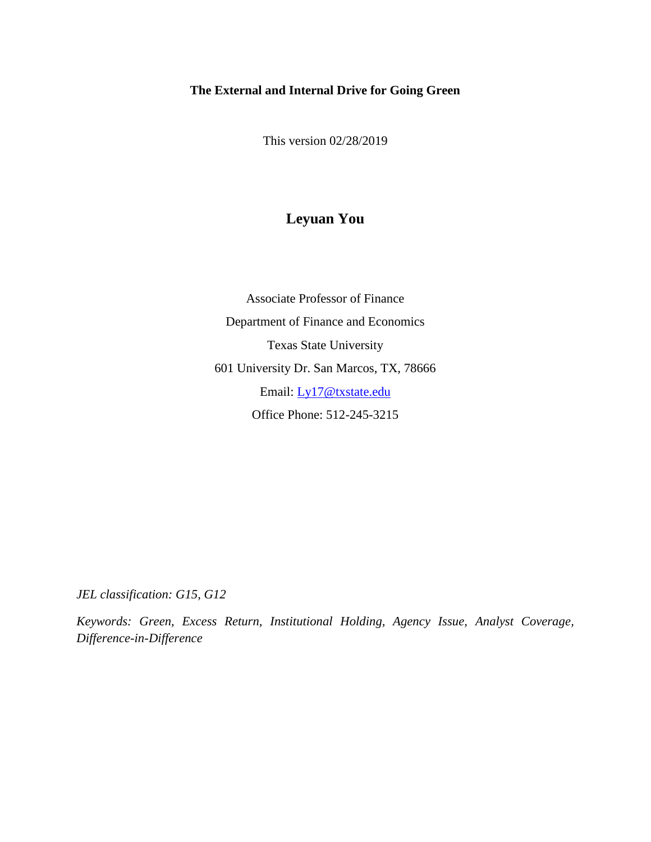## **The External and Internal Drive for Going Green**

This version 02/28/2019

## **Leyuan You**

Associate Professor of Finance Department of Finance and Economics Texas State University 601 University Dr. San Marcos, TX, 78666 Email: [Ly17@txstate.edu](mailto:Ly17@txstate.edu) Office Phone: 512-245-3215

*JEL classification: G15, G12*

*Keywords: Green, Excess Return, Institutional Holding, Agency Issue, Analyst Coverage, Difference-in-Difference*